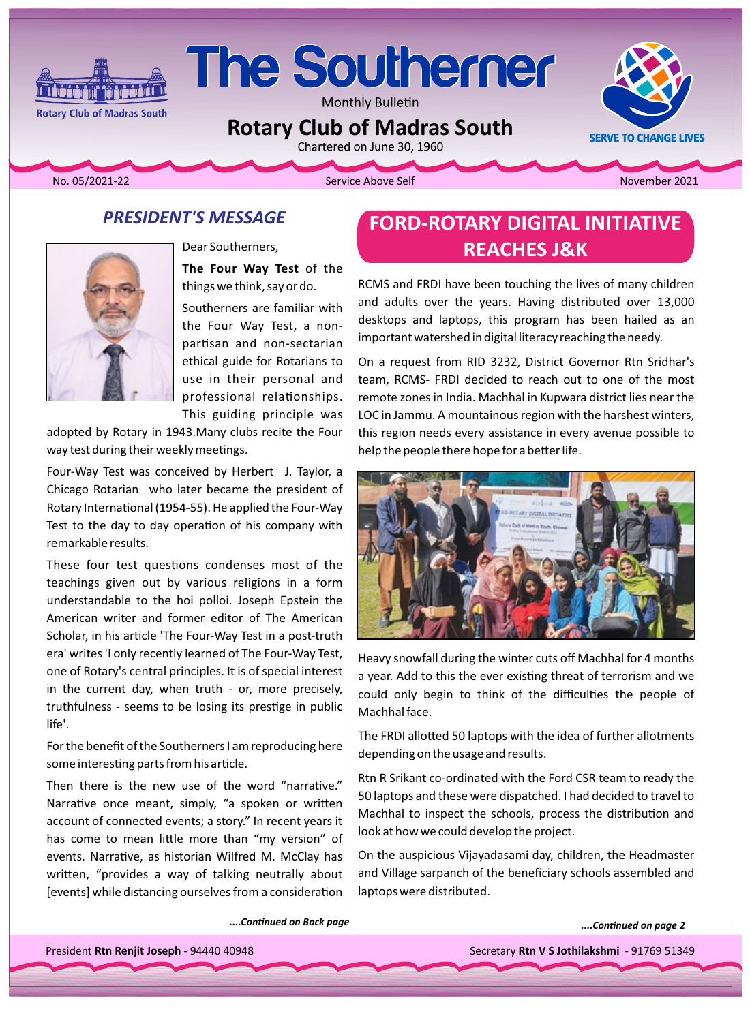

# **The Southerner**

Monthly Bulletin

**Rotary Club of Madras South** 

Chartered on June 30, 1960

**SERVE TO CHANGE LIVES** 

No. 05/2021-22

Service Above Self

November 2021

### **PRESIDENT'S MESSAGE**



Dear Southerners, The Four Way Test of the things we think, say or do.

Southerners are familiar with the Four Way Test, a nonpartisan and non-sectarian ethical guide for Rotarians to use in their personal and professional relationships. This guiding principle was

adopted by Rotary in 1943. Many clubs recite the Four way test during their weekly meetings.

Four-Way Test was conceived by Herbert J. Taylor, a Chicago Rotarian who later became the president of Rotary International (1954-55). He applied the Four-Way Test to the day to day operation of his company with remarkable results.

These four test questions condenses most of the teachings given out by various religions in a form understandable to the hoi polloi. Joseph Epstein the American writer and former editor of The American Scholar, in his article 'The Four-Way Test in a post-truth era' writes 'I only recently learned of The Four-Way Test, one of Rotary's central principles. It is of special interest in the current day, when truth - or, more precisely, truthfulness - seems to be losing its prestige in public life'.

For the benefit of the Southerners I am reproducing here some interesting parts from his article.

Then there is the new use of the word "narrative." Narrative once meant, simply, "a spoken or written account of connected events; a story." In recent years it has come to mean little more than "my version" of events. Narrative, as historian Wilfred M. McClay has written, "provides a way of talking neutrally about [events] while distancing ourselves from a consideration

....Continued on Back page

# **FORD-ROTARY DIGITAL INITIATIVE REACHES J&K**

RCMS and FRDI have been touching the lives of many children and adults over the years. Having distributed over 13,000 desktops and laptops, this program has been hailed as an important watershed in digital literacy reaching the needy.

On a request from RID 3232, District Governor Rtn Sridhar's team, RCMS- FRDI decided to reach out to one of the most remote zones in India. Machhal in Kupwara district lies near the LOC in Jammu. A mountainous region with the harshest winters, this region needs every assistance in every avenue possible to help the people there hope for a better life.



Heavy snowfall during the winter cuts off Machhal for 4 months a year. Add to this the ever existing threat of terrorism and we could only begin to think of the difficulties the people of Machhal face.

The FRDI allotted 50 laptops with the idea of further allotments depending on the usage and results.

Rtn R Srikant co-ordinated with the Ford CSR team to ready the 50 laptops and these were dispatched. I had decided to travel to Machhal to inspect the schools, process the distribution and look at how we could develop the project.

On the auspicious Vijayadasami day, children, the Headmaster and Village sarpanch of the beneficiary schools assembled and laptops were distributed.

....Continued on page 2

President Rtn Renjit Joseph - 94440 40948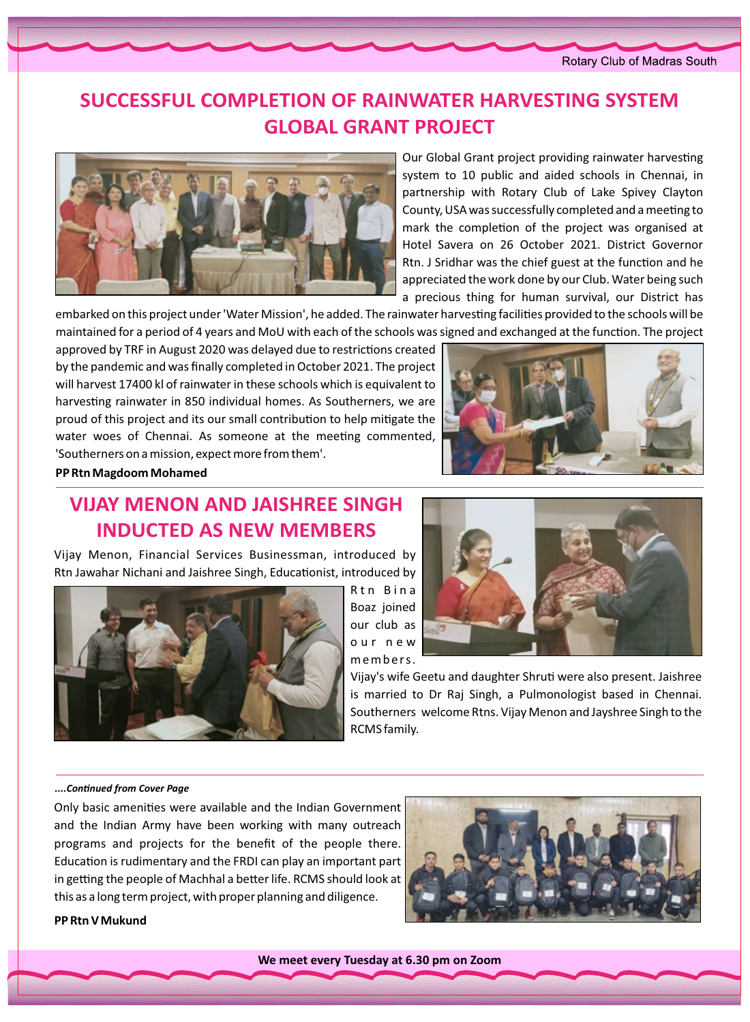#### Rotary Club of Madras South

# **SUCCESSFUL COMPLETION OF RAINWATER HARVESTING SYSTEM GLOBAL GRANT PROJECT**



Our Global Grant project providing rainwater harvesting system to 10 public and aided schools in Chennai, in partnership with Rotary Club of Lake Spivey Clayton County, USA was successfully completed and a meeting to mark the completion of the project was organised at Hotel Savera on 26 October 2021. District Governor Rtn. J Sridhar was the chief guest at the function and he appreciated the work done by our Club. Water being such a precious thing for human survival, our District has

embarked on this project under 'Water Mission', he added. The rainwater harvesting facilities provided to the schools will be maintained for a period of 4 years and MoU with each of the schools was signed and exchanged at the function. The project

approved by TRF in August 2020 was delayed due to restrictions created by the pandemic and was finally completed in October 2021. The project will harvest 17400 kl of rainwater in these schools which is equivalent to harvesting rainwater in 850 individual homes. As Southerners, we are proud of this project and its our small contribution to help mitigate the water woes of Chennai. As someone at the meeting commented, 'Southerners on a mission, expect more from them'.



#### **PP Rtn Magdoom Mohamed**

# *VIJAY MENON AND JAISHREE SINGH* **INDUCTED AS NEW MEMBERS**

Vijay Menon, Financial Services Businessman, introduced by Rtn Jawahar Nichani and Jaishree Singh, Educationist, introduced by



Rtn Bina Boaz joined our club as our new .members



Vijay's wife Geetu and daughter Shruti were also present. Jaishree is married to Dr Raj Singh, a Pulmonologist based in Chennai. Southerners welcome Rtns. Vijay Menon and Jayshree Singh to the RCMS family.

#### *Page Coǀer from ConƟnƵed....*

Only basic amenities were available and the Indian Government and the Indian Army have been working with many outreach programs and projects for the benefit of the people there. Education is rudimentary and the FRDI can play an important part in getting the people of Machhal a better life. RCMS should look at this as a long term project, with proper planning and diligence.



**PP** Rtn V Mukund

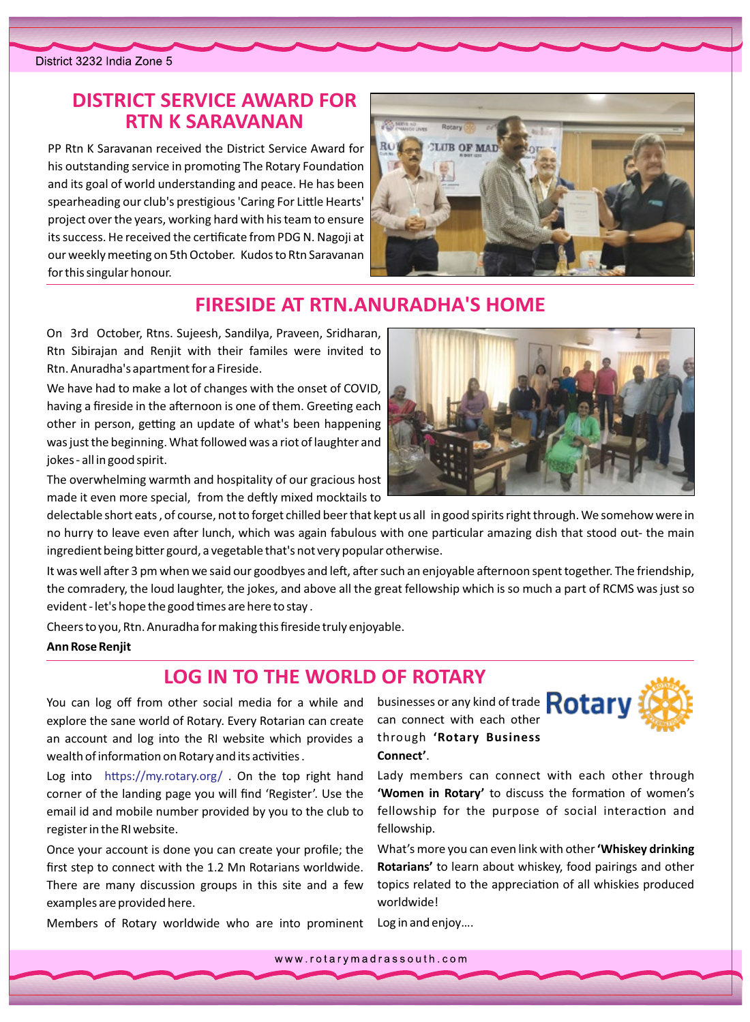## **DISTRICT SERVICE AWARD FOR RTN K SARAVANAN**

PP Rtn K Saravanan received the District Service Award for his outstanding service in promoting The Rotary Foundation and its goal of world understanding and peace. He has been spearheading our club's prestigious 'Caring For Little Hearts' project over the years, working hard with his team to ensure its success. He received the certificate from PDG N. Nagoji at our weekly meeting on 5th October. Kudos to Rtn Saravanan for this singular honour.



## **FIRESIDE AT RTN. ANURADHA'S HOME**

On 3rd October, Rtns. Sujeesh, Sandilya, Praveen, Sridharan, Rtn Sibirajan and Renjit with their familes were invited to Rtn. Anuradha's apartment for a Fireside.

We have had to make a lot of changes with the onset of COVID, having a fireside in the afternoon is one of them. Greeting each other in person, getting an update of what's been happening was just the beginning. What followed was a riot of laughter and jokes - all in good spirit.

The overwhelming warmth and hospitality of our gracious host made it even more special, from the deftly mixed mocktails to

delectable short eats, of course, not to forget chilled beer that kept us all in good spirits right through. We somehow were in no hurry to leave even after lunch, which was again fabulous with one particular amazing dish that stood out- the main ingredient being bitter gourd, a vegetable that's not very popular otherwise.

It was well after 3 pm when we said our goodbyes and left, after such an enjoyable afternoon spent together. The friendship, the comradery, the loud laughter, the jokes, and above all the great fellowship which is so much a part of RCMS was just so evident - let's hope the good times are here to stay.

Cheers to you, Rtn. Anuradha for making this fireside truly enjoyable.

#### **Ann Rose Renjit**

#### **LOG IN TO THE WORLD OF ROTARY**

You can log off from other social media for a while and businesses or any kind of trade **Rotary** explore the sane world of Rotary. Every Rotarian can create an account and log into the RI website which provides a wealth of information on Rotary and its activities.

Log into https://my.rotary.org/ . On the top right hand corner of the landing page you will find 'Register'. Use the email id and mobile number provided by you to the club to register in the RI website.

Once your account is done you can create your profile; the first step to connect with the 1.2 Mn Rotarians worldwide. There are many discussion groups in this site and a few examples are provided here.

Members of Rotary worldwide who are into prominent

can connect with each other through 'Rotary Business Connect'.



Lady members can connect with each other through 'Women in Rotary' to discuss the formation of women's fellowship for the purpose of social interaction and fellowship.

What's more you can even link with other 'Whiskey drinking Rotarians' to learn about whiskey, food pairings and other topics related to the appreciation of all whiskies produced worldwide!

Log in and enjoy....

www.rotarymadrassouth.com